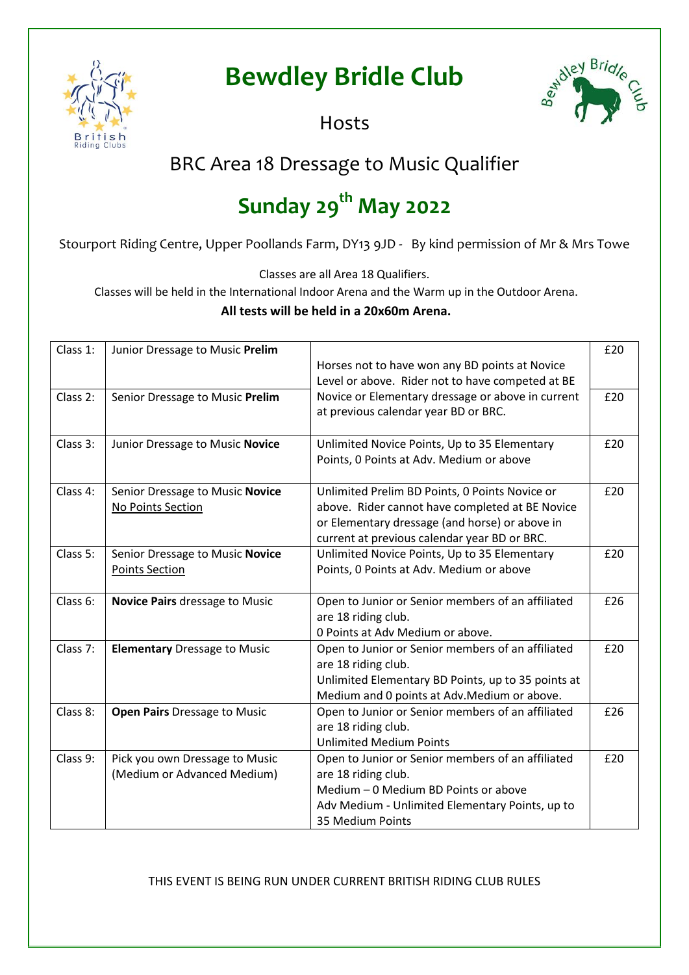

## **Bewdley Bridle Club**



**Hosts** 

## BRC Area 18 Dressage to Music Qualifier

# **Sunday 29th May 2022**

Stourport Riding Centre, Upper Poollands Farm, DY13 9JD - By kind permission of Mr & Mrs Towe

Classes are all Area 18 Qualifiers.

Classes will be held in the International Indoor Arena and the Warm up in the Outdoor Arena.

#### **All tests will be held in a 20x60m Arena.**

| Class 1: | Junior Dressage to Music Prelim     |                                                    | £20 |
|----------|-------------------------------------|----------------------------------------------------|-----|
|          |                                     | Horses not to have won any BD points at Novice     |     |
|          |                                     | Level or above. Rider not to have competed at BE   |     |
| Class 2: | Senior Dressage to Music Prelim     | Novice or Elementary dressage or above in current  | £20 |
|          |                                     | at previous calendar year BD or BRC.               |     |
|          |                                     |                                                    |     |
| Class 3: | Junior Dressage to Music Novice     | Unlimited Novice Points, Up to 35 Elementary       | £20 |
|          |                                     | Points, 0 Points at Adv. Medium or above           |     |
| Class 4: | Senior Dressage to Music Novice     | Unlimited Prelim BD Points, 0 Points Novice or     | £20 |
|          | No Points Section                   | above. Rider cannot have completed at BE Novice    |     |
|          |                                     | or Elementary dressage (and horse) or above in     |     |
|          |                                     | current at previous calendar year BD or BRC.       |     |
| Class 5: | Senior Dressage to Music Novice     | Unlimited Novice Points, Up to 35 Elementary       | £20 |
|          | <b>Points Section</b>               | Points, 0 Points at Adv. Medium or above           |     |
| Class 6: | Novice Pairs dressage to Music      | Open to Junior or Senior members of an affiliated  | £26 |
|          |                                     | are 18 riding club.                                |     |
|          |                                     | 0 Points at Adv Medium or above.                   |     |
| Class 7: | <b>Elementary Dressage to Music</b> | Open to Junior or Senior members of an affiliated  | £20 |
|          |                                     | are 18 riding club.                                |     |
|          |                                     | Unlimited Elementary BD Points, up to 35 points at |     |
|          |                                     | Medium and 0 points at Adv. Medium or above.       |     |
| Class 8: | <b>Open Pairs Dressage to Music</b> | Open to Junior or Senior members of an affiliated  | £26 |
|          |                                     | are 18 riding club.                                |     |
|          |                                     | <b>Unlimited Medium Points</b>                     |     |
| Class 9: | Pick you own Dressage to Music      | Open to Junior or Senior members of an affiliated  | £20 |
|          | (Medium or Advanced Medium)         | are 18 riding club.                                |     |
|          |                                     | Medium - 0 Medium BD Points or above               |     |
|          |                                     | Adv Medium - Unlimited Elementary Points, up to    |     |
|          |                                     | 35 Medium Points                                   |     |

THIS EVENT IS BEING RUN UNDER CURRENT BRITISH RIDING CLUB RULES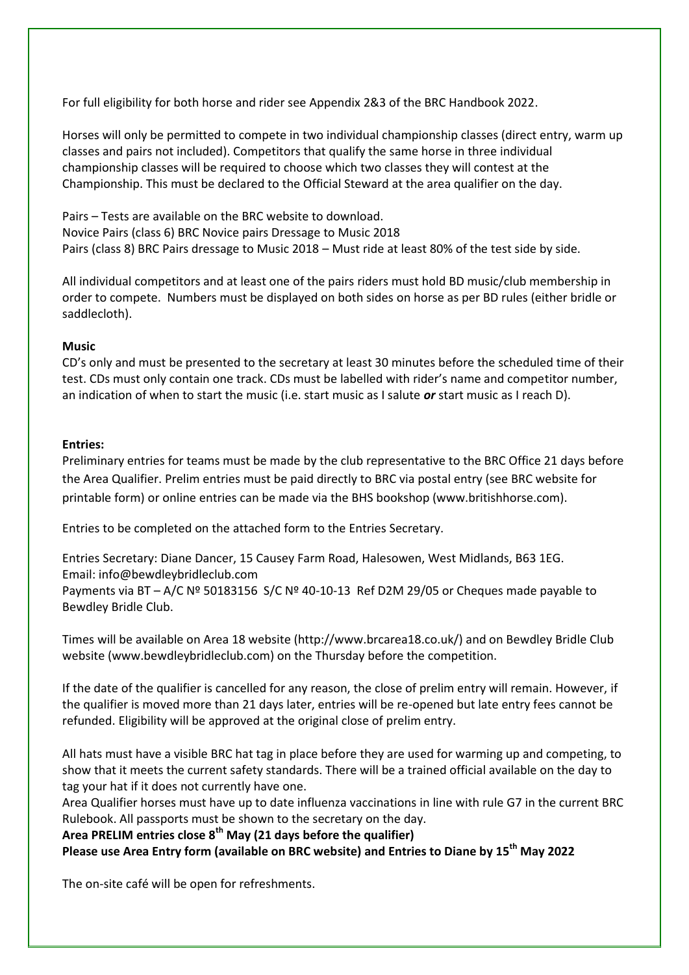For full eligibility for both horse and rider see Appendix 2&3 of the BRC Handbook 2022.

Horses will only be permitted to compete in two individual championship classes (direct entry, warm up classes and pairs not included). Competitors that qualify the same horse in three individual championship classes will be required to choose which two classes they will contest at the Championship. This must be declared to the Official Steward at the area qualifier on the day.

Pairs – Tests are available on the BRC website to download. Novice Pairs (class 6) BRC Novice pairs Dressage to Music 2018 Pairs (class 8) BRC Pairs dressage to Music 2018 – Must ride at least 80% of the test side by side.

All individual competitors and at least one of the pairs riders must hold BD music/club membership in order to compete. Numbers must be displayed on both sides on horse as per BD rules (either bridle or saddlecloth).

#### **Music**

CD's only and must be presented to the secretary at least 30 minutes before the scheduled time of their test. CDs must only contain one track. CDs must be labelled with rider's name and competitor number, an indication of when to start the music (i.e. start music as I salute *or* start music as I reach D).

#### **Entries:**

Preliminary entries for teams must be made by the club representative to the BRC Office 21 days before the Area Qualifier. Prelim entries must be paid directly to BRC via postal entry (see BRC website for printable form) or online entries can be made via the BHS bookshop (www.britishhorse.com).

Entries to be completed on the attached form to the Entries Secretary.

Entries Secretary: Diane Dancer, 15 Causey Farm Road, Halesowen, West Midlands, B63 1EG. Email: info@bewdleybridleclub.com Payments via BT – A/C Nº 50183156 S/C Nº 40-10-13 Ref D2M 29/05 or Cheques made payable to Bewdley Bridle Club.

Times will be available on Area 18 website (http://www.brcarea18.co.uk/) and on Bewdley Bridle Club website (www.bewdleybridleclub.com) on the Thursday before the competition.

If the date of the qualifier is cancelled for any reason, the close of prelim entry will remain. However, if the qualifier is moved more than 21 days later, entries will be re-opened but late entry fees cannot be refunded. Eligibility will be approved at the original close of prelim entry.

All hats must have a visible BRC hat tag in place before they are used for warming up and competing, to show that it meets the current safety standards. There will be a trained official available on the day to tag your hat if it does not currently have one.

Area Qualifier horses must have up to date influenza vaccinations in line with rule G7 in the current BRC Rulebook. All passports must be shown to the secretary on the day.

**Area PRELIM entries close 8th May (21 days before the qualifier) Please use Area Entry form (available on BRC website) and Entries to Diane by 15th May 2022**

The on-site café will be open for refreshments.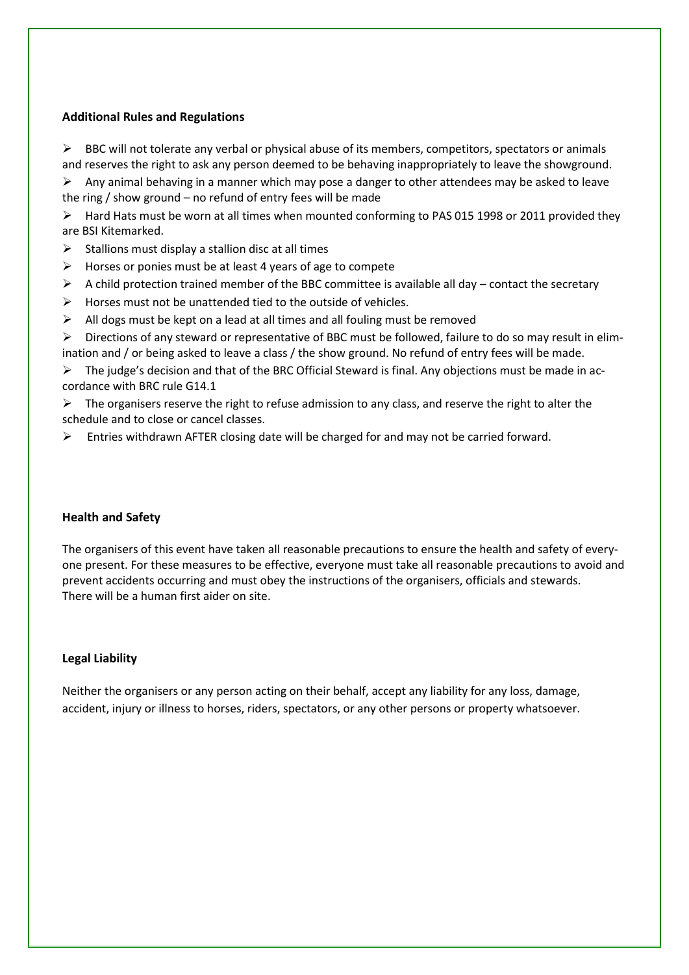#### **Additional Rules and Regulations**

BBC will not tolerate any verbal or physical abuse of its members, competitors, spectators or animals and reserves the right to ask any person deemed to be behaving inappropriately to leave the showground.

 $\triangleright$  Any animal behaving in a manner which may pose a danger to other attendees may be asked to leave the ring / show ground – no refund of entry fees will be made

 $\triangleright$  Hard Hats must be worn at all times when mounted conforming to PAS 015 1998 or 2011 provided they are BSI Kitemarked.

- $\triangleright$  Stallions must display a stallion disc at all times
- $\triangleright$  Horses or ponies must be at least 4 years of age to compete
- $\triangleright$  A child protection trained member of the BBC committee is available all day contact the secretary
- $\triangleright$  Horses must not be unattended tied to the outside of vehicles.
- $\triangleright$  All dogs must be kept on a lead at all times and all fouling must be removed
- Directions of any steward or representative of BBC must be followed, failure to do so may result in elimination and / or being asked to leave a class / the show ground. No refund of entry fees will be made.

 $\triangleright$  The judge's decision and that of the BRC Official Steward is final. Any objections must be made in accordance with BRC rule G14.1

 $\triangleright$  The organisers reserve the right to refuse admission to any class, and reserve the right to alter the schedule and to close or cancel classes.

 $\triangleright$  Entries withdrawn AFTER closing date will be charged for and may not be carried forward.

#### **Health and Safety**

The organisers of this event have taken all reasonable precautions to ensure the health and safety of everyone present. For these measures to be effective, everyone must take all reasonable precautions to avoid and prevent accidents occurring and must obey the instructions of the organisers, officials and stewards. There will be a human first aider on site.

#### **Legal Liability**

Neither the organisers or any person acting on their behalf, accept any liability for any loss, damage, accident, injury or illness to horses, riders, spectators, or any other persons or property whatsoever.